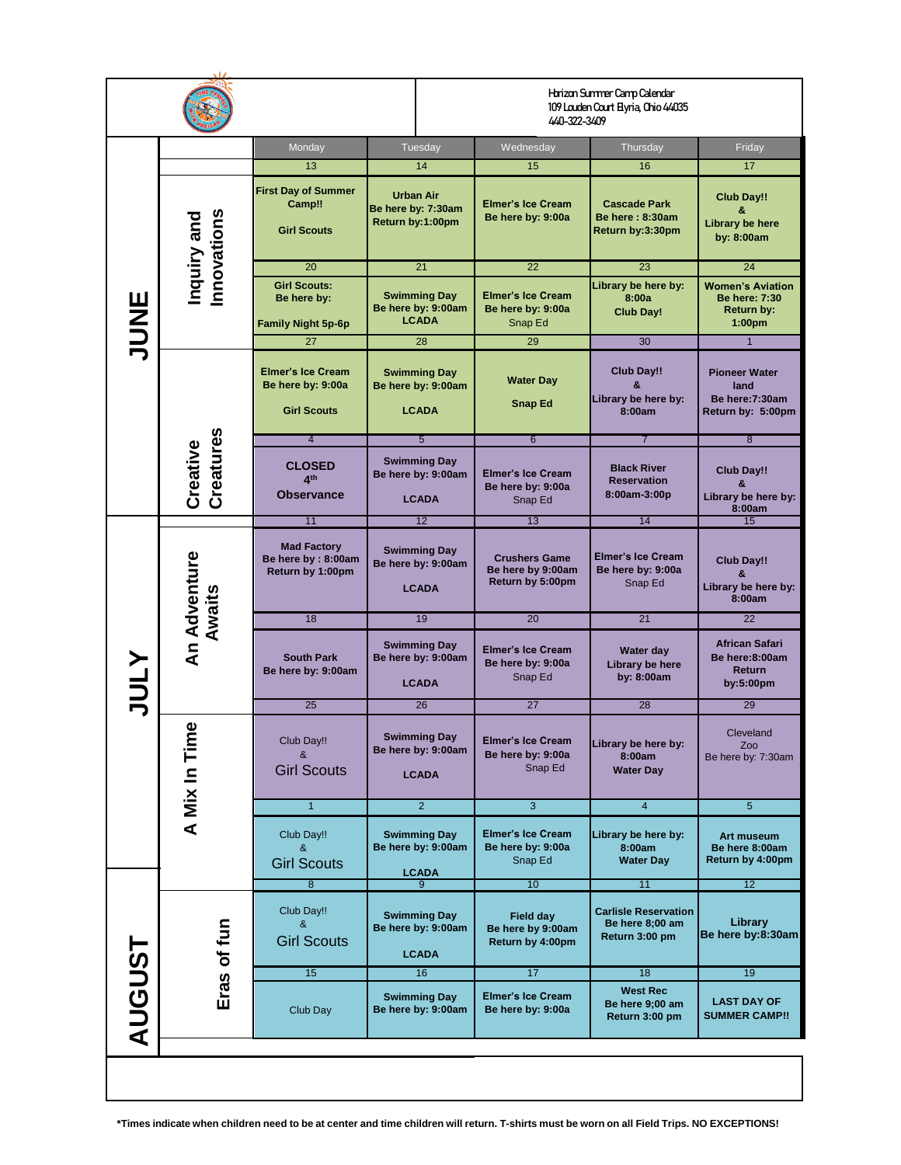|               |                            |                                                                     | Horizon Summer Camp Calendar<br>109 Louden Court Elyria, Ohio 44035<br>440-322-3409 |                                                               |                                                                  |                                                                                     |  |  |
|---------------|----------------------------|---------------------------------------------------------------------|-------------------------------------------------------------------------------------|---------------------------------------------------------------|------------------------------------------------------------------|-------------------------------------------------------------------------------------|--|--|
|               | Monday                     |                                                                     | Tuesday                                                                             | Wednesday                                                     | Thursday                                                         | Friday                                                                              |  |  |
| JUNE          |                            | 13                                                                  | 14                                                                                  | 15                                                            | 16                                                               | 17 <sup>2</sup>                                                                     |  |  |
|               | Inquiry and<br>Innovations | <b>First Day of Summer</b><br>Camp!!<br><b>Girl Scouts</b>          | <b>Urban Air</b><br>Be here by: 7:30am<br>Return by:1:00pm                          | <b>Elmer's Ice Cream</b><br>Be here by: 9:00a                 | <b>Cascade Park</b><br>Be here: 8:30am<br>Return by:3:30pm       | <b>Club Day!!</b><br>8.<br>Library be here<br>by: 8:00am                            |  |  |
|               |                            | 20                                                                  | 21                                                                                  | 22                                                            | 23                                                               | 24                                                                                  |  |  |
|               |                            | <b>Girl Scouts:</b><br>Be here by:<br><b>Family Night 5p-6p</b>     | <b>Swimming Day</b><br>Be here by: 9:00am<br><b>LCADA</b>                           | <b>Elmer's Ice Cream</b><br>Be here by: 9:00a<br>Snap Ed      | Library be here by:<br>8:00a<br>Club Day!                        | <b>Women's Aviation</b><br><b>Be here: 7:30</b><br>Return by:<br>1:00 <sub>pm</sub> |  |  |
|               |                            | 27                                                                  | 28                                                                                  | 29                                                            | 30                                                               | $\overline{1}$                                                                      |  |  |
|               |                            | <b>Elmer's Ice Cream</b><br>Be here by: 9:00a<br><b>Girl Scouts</b> | <b>Swimming Day</b><br>Be here by: 9:00am<br><b>LCADA</b>                           | <b>Water Day</b><br><b>Snap Ed</b>                            | Club Day!!<br>&<br>Library be here by:<br>8:00am                 | <b>Pioneer Water</b><br>land<br>Be here: 7:30am<br>Return by: 5:00pm                |  |  |
|               |                            | $\overline{4}$                                                      | $5\overline{)}$                                                                     | 6                                                             | $\overline{7}$                                                   | $\overline{8}$                                                                      |  |  |
|               | Creative<br>Creatures      | <b>CLOSED</b><br>A <sup>th</sup><br><b>Observance</b>               | <b>Swimming Day</b><br>Be here by: 9:00am<br><b>LCADA</b>                           | <b>Elmer's Ice Cream</b><br>Be here by: 9:00a<br>Snap Ed      | <b>Black River</b><br><b>Reservation</b><br>8:00am-3:00p         | <b>Club Day!!</b><br>8.<br>Library be here by:<br>8:00am                            |  |  |
|               | An Adventure<br>Awaits     | 11                                                                  | 12                                                                                  | 13                                                            | 14                                                               | 15                                                                                  |  |  |
|               |                            | <b>Mad Factory</b><br>Be here by: 8:00am<br>Return by 1:00pm        | <b>Swimming Day</b><br>Be here by: 9:00am<br><b>LCADA</b>                           | <b>Crushers Game</b><br>Be here by 9:00am<br>Return by 5:00pm | <b>Elmer's Ice Cream</b><br>Be here by: 9:00a<br>Snap Ed         | Club Day!!<br>&<br>Library be here by:<br>8:00am                                    |  |  |
|               |                            | 18                                                                  | 19                                                                                  | 20                                                            | 21                                                               | 22                                                                                  |  |  |
| <b>ATNC</b>   |                            | <b>South Park</b><br>Be here by: 9:00am                             | <b>Swimming Day</b><br>Be here by: 9:00am<br><b>LCADA</b>                           | <b>Elmer's Ice Cream</b><br>Be here by: 9:00a<br>Snap Ed      | Water day<br>Library be here<br>by: 8:00am                       | African Safari<br>Be here:8:00am<br><b>Return</b><br>by:5:00pm                      |  |  |
|               |                            | 25                                                                  | 26                                                                                  | 27                                                            | 28                                                               | 29                                                                                  |  |  |
|               | A Mix In Time              | Club Day!!<br>&<br><b>Girl Scouts</b>                               | <b>Swimming Day</b><br>Be here by: 9:00am<br><b>LCADA</b>                           | <b>Elmer's Ice Cream</b><br>Be here by: 9:00a<br>Snap Ed      | Library be here by:<br>8:00am<br><b>Water Day</b>                | Cleveland<br>Zoo<br>Be here by: 7:30am                                              |  |  |
|               |                            | $\mathbf{1}$                                                        | $\overline{2}$                                                                      | $\overline{3}$                                                | $\overline{4}$                                                   | 5                                                                                   |  |  |
|               |                            | Club Day!!<br>&<br><b>Girl Scouts</b>                               | <b>Swimming Day</b><br>Be here by: 9:00am<br><b>LCADA</b>                           | <b>Elmer's Ice Cream</b><br>Be here by: 9:00a<br>Snap Ed      | Library be here by:<br>8:00am<br><b>Water Day</b>                | Art museum<br>Be here 8:00am<br>Return by 4:00pm                                    |  |  |
| <b>AUGUST</b> |                            | $\overline{8}$                                                      | 9                                                                                   | 10                                                            | 11                                                               | 12                                                                                  |  |  |
|               | Eras of fun                | Club Day!!<br>&<br><b>Girl Scouts</b>                               | <b>Swimming Day</b><br>Be here by: 9:00am<br><b>LCADA</b>                           | <b>Field day</b><br>Be here by 9:00am<br>Return by 4:00pm     | <b>Carlisle Reservation</b><br>Be here 8;00 am<br>Return 3:00 pm | Library<br>Be here by:8:30am                                                        |  |  |
|               |                            | 15                                                                  | 16                                                                                  | 17                                                            | 18                                                               | 19                                                                                  |  |  |
|               |                            | Club Day                                                            | <b>Swimming Day</b><br>Be here by: 9:00am                                           | <b>Elmer's Ice Cream</b><br>Be here by: 9:00a                 | <b>West Rec</b><br>Be here 9;00 am<br>Return 3:00 pm             | <b>LAST DAY OF</b><br><b>SUMMER CAMP!!</b>                                          |  |  |
|               |                            |                                                                     |                                                                                     |                                                               |                                                                  |                                                                                     |  |  |
|               |                            |                                                                     |                                                                                     |                                                               |                                                                  |                                                                                     |  |  |